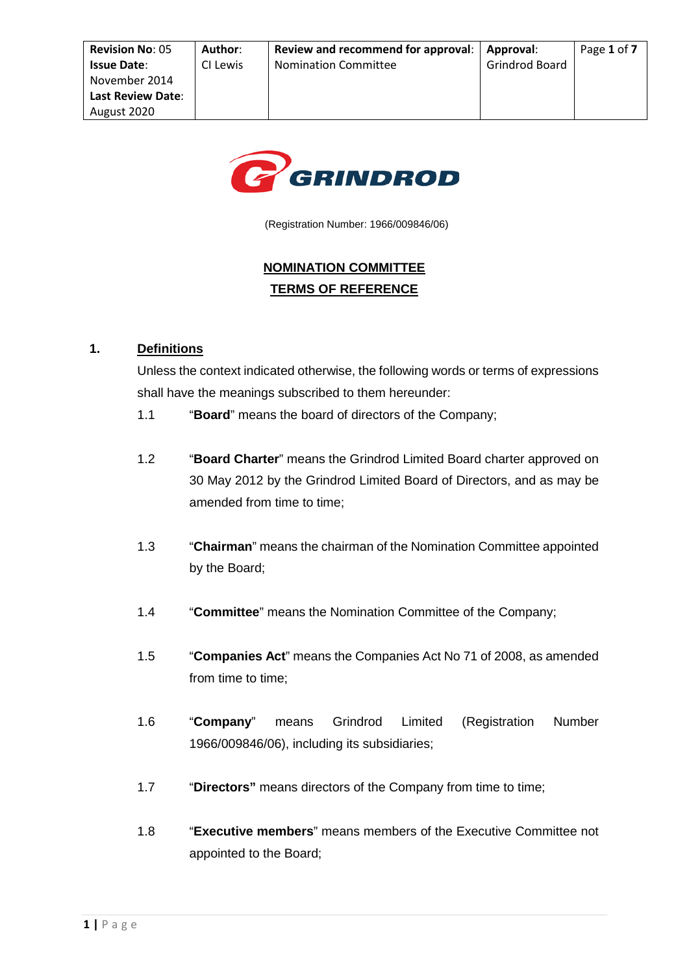

(Registration Number: 1966/009846/06)

# **NOMINATION COMMITTEE TERMS OF REFERENCE**

### **1. Definitions**

Unless the context indicated otherwise, the following words or terms of expressions shall have the meanings subscribed to them hereunder:

- 1.1 "**Board**" means the board of directors of the Company;
- 1.2 "**Board Charter**" means the Grindrod Limited Board charter approved on 30 May 2012 by the Grindrod Limited Board of Directors, and as may be amended from time to time;
- 1.3 "**Chairman**" means the chairman of the Nomination Committee appointed by the Board;
- 1.4 "**Committee**" means the Nomination Committee of the Company;
- 1.5 "**Companies Act**" means the Companies Act No 71 of 2008, as amended from time to time;
- 1.6 "**Company**" means Grindrod Limited (Registration Number 1966/009846/06), including its subsidiaries;
- 1.7 "**Directors"** means directors of the Company from time to time;
- 1.8 "**Executive members**" means members of the Executive Committee not appointed to the Board;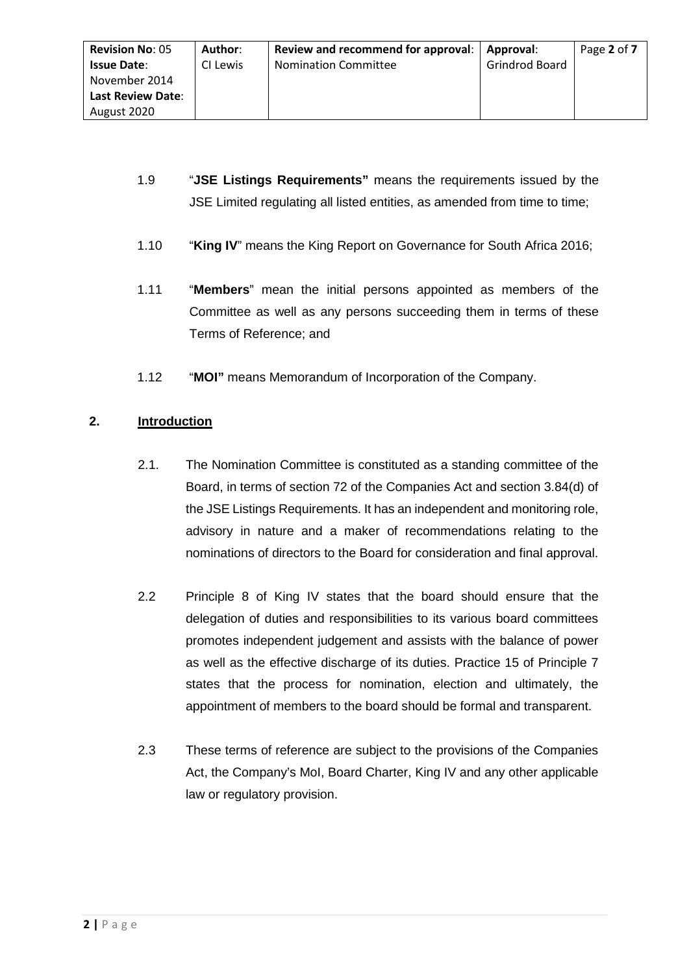- 1.9 "**JSE Listings Requirements"** means the requirements issued by the JSE Limited regulating all listed entities, as amended from time to time;
- 1.10 "**King IV**" means the King Report on Governance for South Africa 2016;
- 1.11 "**Members**" mean the initial persons appointed as members of the Committee as well as any persons succeeding them in terms of these Terms of Reference; and
- 1.12 "**MOI"** means Memorandum of Incorporation of the Company.

# **2. Introduction**

- 2.1. The Nomination Committee is constituted as a standing committee of the Board, in terms of section 72 of the Companies Act and section 3.84(d) of the JSE Listings Requirements. It has an independent and monitoring role, advisory in nature and a maker of recommendations relating to the nominations of directors to the Board for consideration and final approval.
- 2.2 Principle 8 of King IV states that the board should ensure that the delegation of duties and responsibilities to its various board committees promotes independent judgement and assists with the balance of power as well as the effective discharge of its duties. Practice 15 of Principle 7 states that the process for nomination, election and ultimately, the appointment of members to the board should be formal and transparent.
- 2.3 These terms of reference are subject to the provisions of the Companies Act, the Company's MoI, Board Charter, King IV and any other applicable law or regulatory provision.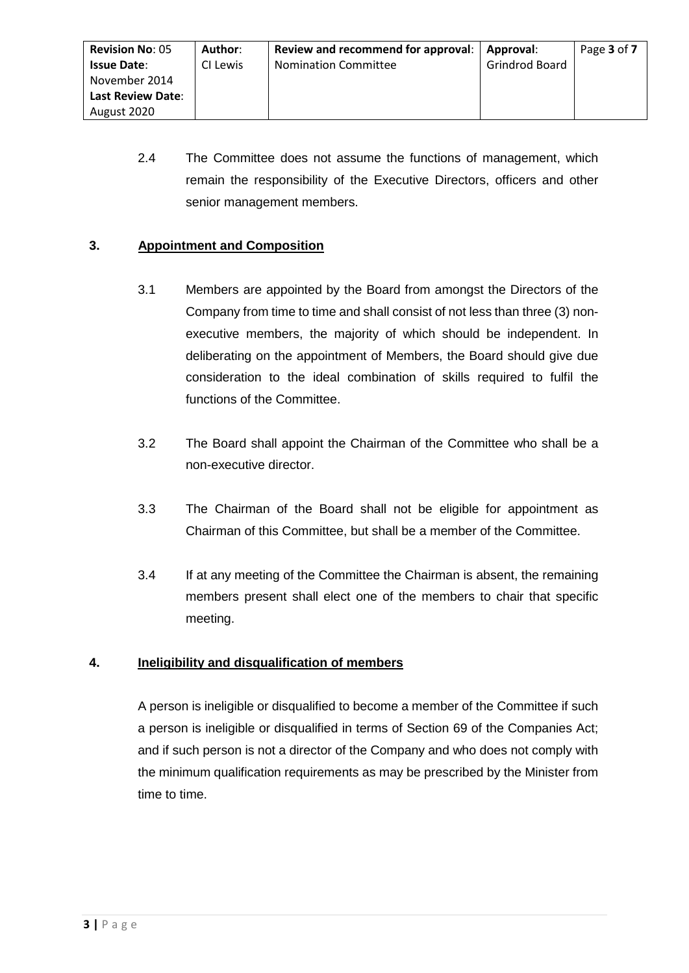2.4 The Committee does not assume the functions of management, which remain the responsibility of the Executive Directors, officers and other senior management members.

# **3. Appointment and Composition**

- 3.1 Members are appointed by the Board from amongst the Directors of the Company from time to time and shall consist of not less than three (3) nonexecutive members, the majority of which should be independent. In deliberating on the appointment of Members, the Board should give due consideration to the ideal combination of skills required to fulfil the functions of the Committee.
- 3.2 The Board shall appoint the Chairman of the Committee who shall be a non-executive director.
- 3.3 The Chairman of the Board shall not be eligible for appointment as Chairman of this Committee, but shall be a member of the Committee.
- 3.4 If at any meeting of the Committee the Chairman is absent, the remaining members present shall elect one of the members to chair that specific meeting.

# **4. Ineligibility and disqualification of members**

A person is ineligible or disqualified to become a member of the Committee if such a person is ineligible or disqualified in terms of Section 69 of the Companies Act; and if such person is not a director of the Company and who does not comply with the minimum qualification requirements as may be prescribed by the Minister from time to time.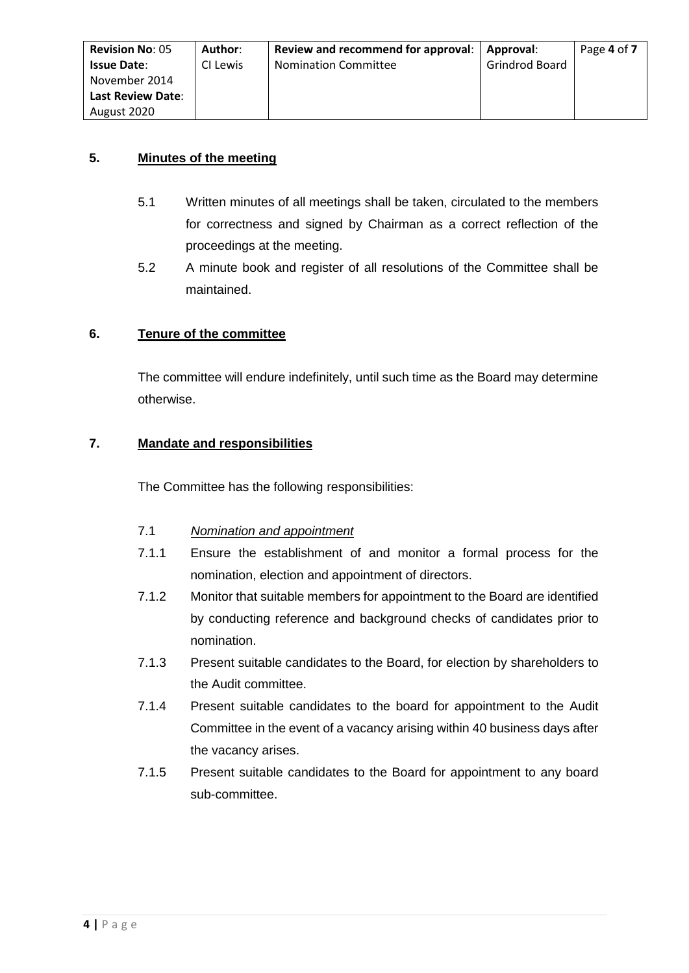| <b>Revision No: 05</b>   | Author:  | Review and recommend for approval: | Approval:             | Page 4 of 7 |
|--------------------------|----------|------------------------------------|-----------------------|-------------|
| <b>Issue Date:</b>       | CI Lewis | <b>Nomination Committee</b>        | <b>Grindrod Board</b> |             |
| November 2014            |          |                                    |                       |             |
| <b>Last Review Date:</b> |          |                                    |                       |             |
| August 2020              |          |                                    |                       |             |

### **5. Minutes of the meeting**

- 5.1 Written minutes of all meetings shall be taken, circulated to the members for correctness and signed by Chairman as a correct reflection of the proceedings at the meeting.
- 5.2 A minute book and register of all resolutions of the Committee shall be maintained.

#### **6. Tenure of the committee**

The committee will endure indefinitely, until such time as the Board may determine otherwise.

#### **7. Mandate and responsibilities**

The Committee has the following responsibilities:

- 7.1 *Nomination and appointment*
- 7.1.1 Ensure the establishment of and monitor a formal process for the nomination, election and appointment of directors.
- 7.1.2 Monitor that suitable members for appointment to the Board are identified by conducting reference and background checks of candidates prior to nomination.
- 7.1.3 Present suitable candidates to the Board, for election by shareholders to the Audit committee.
- 7.1.4 Present suitable candidates to the board for appointment to the Audit Committee in the event of a vacancy arising within 40 business days after the vacancy arises.
- 7.1.5 Present suitable candidates to the Board for appointment to any board sub-committee.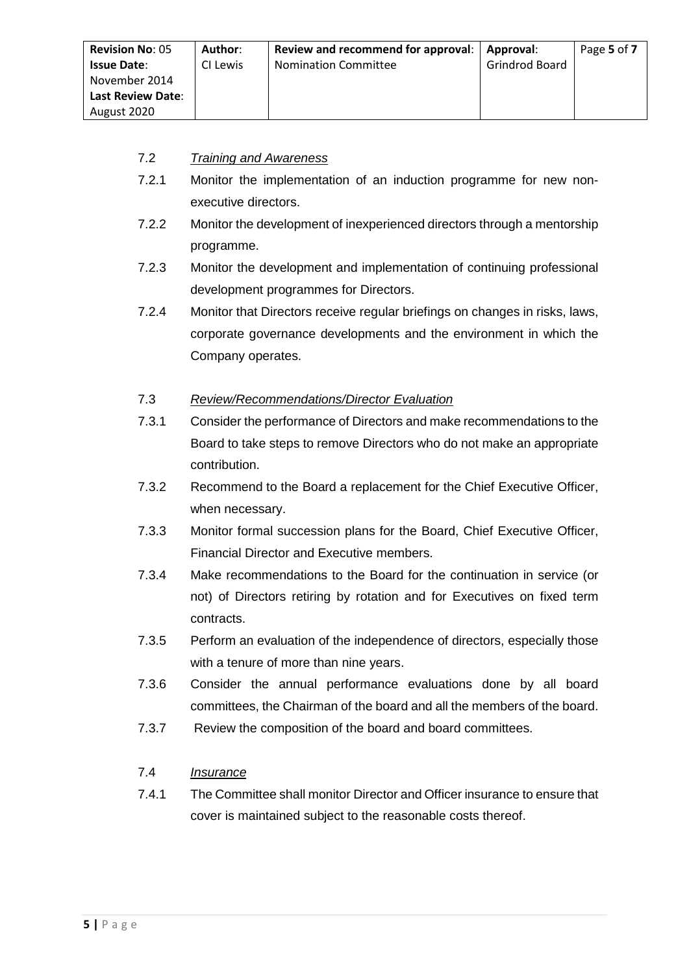| <b>Revision No: 05</b>   | Author:  | Review and recommend for approval:   Approval: |                | Page 5 of 7 |
|--------------------------|----------|------------------------------------------------|----------------|-------------|
| <b>Issue Date:</b>       | CI Lewis | <b>Nomination Committee</b>                    | Grindrod Board |             |
| November 2014            |          |                                                |                |             |
| <b>Last Review Date:</b> |          |                                                |                |             |
| August 2020              |          |                                                |                |             |

### 7.2 *Training and Awareness*

- 7.2.1 Monitor the implementation of an induction programme for new nonexecutive directors.
- 7.2.2 Monitor the development of inexperienced directors through a mentorship programme.
- 7.2.3 Monitor the development and implementation of continuing professional development programmes for Directors.
- 7.2.4 Monitor that Directors receive regular briefings on changes in risks, laws, corporate governance developments and the environment in which the Company operates.

### 7.3 *Review/Recommendations/Director Evaluation*

- 7.3.1 Consider the performance of Directors and make recommendations to the Board to take steps to remove Directors who do not make an appropriate contribution.
- 7.3.2 Recommend to the Board a replacement for the Chief Executive Officer, when necessary.
- 7.3.3 Monitor formal succession plans for the Board, Chief Executive Officer, Financial Director and Executive members.
- 7.3.4 Make recommendations to the Board for the continuation in service (or not) of Directors retiring by rotation and for Executives on fixed term contracts.
- 7.3.5 Perform an evaluation of the independence of directors, especially those with a tenure of more than nine years.
- 7.3.6 Consider the annual performance evaluations done by all board committees, the Chairman of the board and all the members of the board.
- 7.3.7 Review the composition of the board and board committees.

### 7.4 *Insurance*

7.4.1 The Committee shall monitor Director and Officer insurance to ensure that cover is maintained subject to the reasonable costs thereof.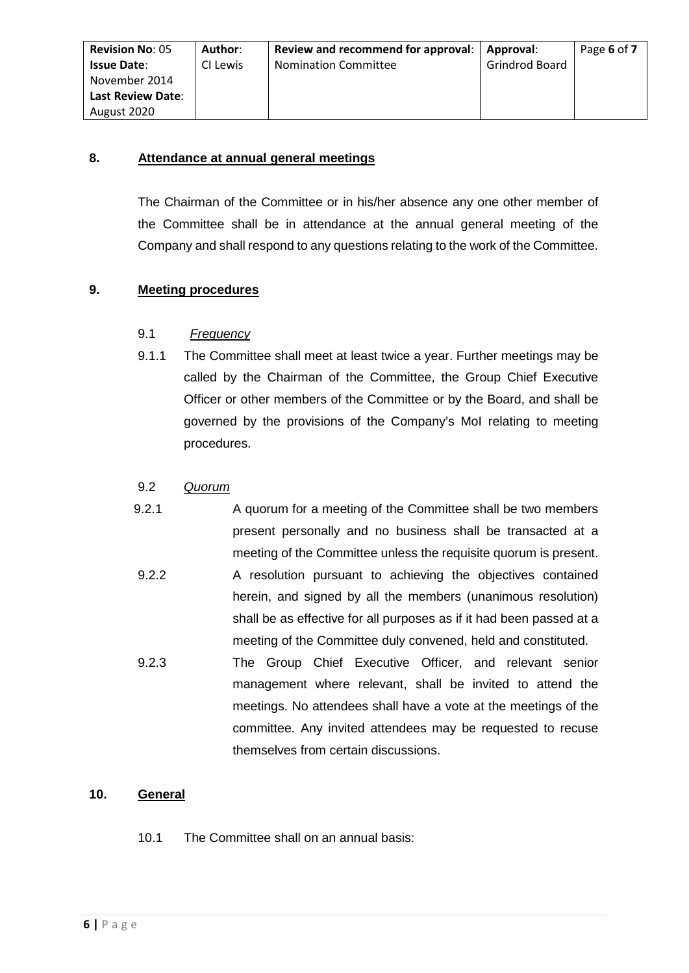#### **8. Attendance at annual general meetings**

The Chairman of the Committee or in his/her absence any one other member of the Committee shall be in attendance at the annual general meeting of the Company and shall respond to any questions relating to the work of the Committee.

### **9. Meeting procedures**

#### 9.1 *Frequency*

9.1.1 The Committee shall meet at least twice a year. Further meetings may be called by the Chairman of the Committee, the Group Chief Executive Officer or other members of the Committee or by the Board, and shall be governed by the provisions of the Company's MoI relating to meeting procedures.

### 9.2 *Quorum*

- 9.2.1 A quorum for a meeting of the Committee shall be two members present personally and no business shall be transacted at a meeting of the Committee unless the requisite quorum is present. 9.2.2 A resolution pursuant to achieving the objectives contained herein, and signed by all the members (unanimous resolution) shall be as effective for all purposes as if it had been passed at a
- meeting of the Committee duly convened, held and constituted. 9.2.3 The Group Chief Executive Officer, and relevant senior management where relevant, shall be invited to attend the meetings. No attendees shall have a vote at the meetings of the committee. Any invited attendees may be requested to recuse themselves from certain discussions.

#### **10. General**

10.1 The Committee shall on an annual basis: